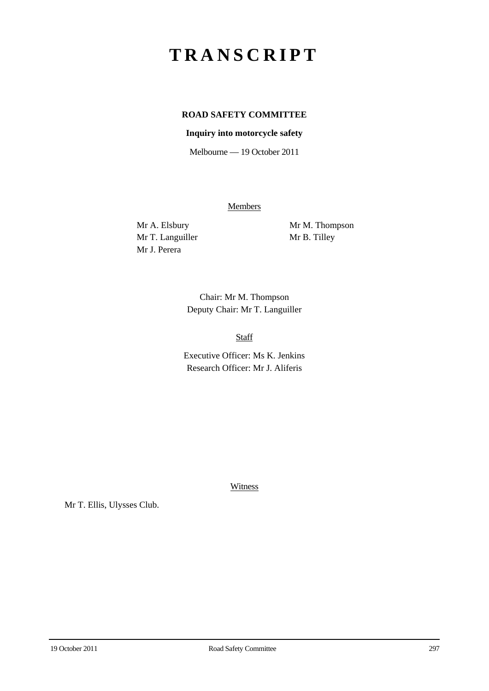## **TRANSCRIPT**

## **ROAD SAFETY COMMITTEE**

## **Inquiry into motorcycle safety**

Melbourne — 19 October 2011

**Members** 

Mr T. Languiller Mr B. Tilley Mr J. Perera

Mr A. Elsbury Mr M. Thompson

Chair: Mr M. Thompson Deputy Chair: Mr T. Languiller

Staff

Executive Officer: Ms K. Jenkins Research Officer: Mr J. Aliferis

**Witness** 

Mr T. Ellis, Ulysses Club.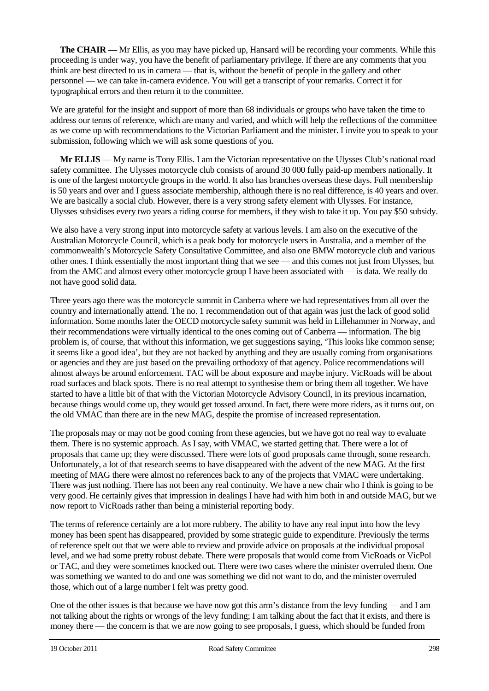**The CHAIR** — Mr Ellis, as you may have picked up, Hansard will be recording your comments. While this proceeding is under way, you have the benefit of parliamentary privilege. If there are any comments that you think are best directed to us in camera — that is, without the benefit of people in the gallery and other personnel — we can take in-camera evidence. You will get a transcript of your remarks. Correct it for typographical errors and then return it to the committee.

We are grateful for the insight and support of more than 68 individuals or groups who have taken the time to address our terms of reference, which are many and varied, and which will help the reflections of the committee as we come up with recommendations to the Victorian Parliament and the minister. I invite you to speak to your submission, following which we will ask some questions of you.

**Mr ELLIS** — My name is Tony Ellis. I am the Victorian representative on the Ulysses Club's national road safety committee. The Ulysses motorcycle club consists of around 30 000 fully paid-up members nationally. It is one of the largest motorcycle groups in the world. It also has branches overseas these days. Full membership is 50 years and over and I guess associate membership, although there is no real difference, is 40 years and over. We are basically a social club. However, there is a very strong safety element with Ulysses. For instance, Ulysses subsidises every two years a riding course for members, if they wish to take it up. You pay \$50 subsidy.

We also have a very strong input into motorcycle safety at various levels. I am also on the executive of the Australian Motorcycle Council, which is a peak body for motorcycle users in Australia, and a member of the commonwealth's Motorcycle Safety Consultative Committee, and also one BMW motorcycle club and various other ones. I think essentially the most important thing that we see — and this comes not just from Ulysses, but from the AMC and almost every other motorcycle group I have been associated with — is data. We really do not have good solid data.

Three years ago there was the motorcycle summit in Canberra where we had representatives from all over the country and internationally attend. The no. 1 recommendation out of that again was just the lack of good solid information. Some months later the OECD motorcycle safety summit was held in Lillehammer in Norway, and their recommendations were virtually identical to the ones coming out of Canberra — information. The big problem is, of course, that without this information, we get suggestions saying, 'This looks like common sense; it seems like a good idea', but they are not backed by anything and they are usually coming from organisations or agencies and they are just based on the prevailing orthodoxy of that agency. Police recommendations will almost always be around enforcement. TAC will be about exposure and maybe injury. VicRoads will be about road surfaces and black spots. There is no real attempt to synthesise them or bring them all together. We have started to have a little bit of that with the Victorian Motorcycle Advisory Council, in its previous incarnation, because things would come up, they would get tossed around. In fact, there were more riders, as it turns out, on the old VMAC than there are in the new MAG, despite the promise of increased representation.

The proposals may or may not be good coming from these agencies, but we have got no real way to evaluate them. There is no systemic approach. As I say, with VMAC, we started getting that. There were a lot of proposals that came up; they were discussed. There were lots of good proposals came through, some research. Unfortunately, a lot of that research seems to have disappeared with the advent of the new MAG. At the first meeting of MAG there were almost no references back to any of the projects that VMAC were undertaking. There was just nothing. There has not been any real continuity. We have a new chair who I think is going to be very good. He certainly gives that impression in dealings I have had with him both in and outside MAG, but we now report to VicRoads rather than being a ministerial reporting body.

The terms of reference certainly are a lot more rubbery. The ability to have any real input into how the levy money has been spent has disappeared, provided by some strategic guide to expenditure. Previously the terms of reference spelt out that we were able to review and provide advice on proposals at the individual proposal level, and we had some pretty robust debate. There were proposals that would come from VicRoads or VicPol or TAC, and they were sometimes knocked out. There were two cases where the minister overruled them. One was something we wanted to do and one was something we did not want to do, and the minister overruled those, which out of a large number I felt was pretty good.

One of the other issues is that because we have now got this arm's distance from the levy funding — and I am not talking about the rights or wrongs of the levy funding; I am talking about the fact that it exists, and there is money there — the concern is that we are now going to see proposals, I guess, which should be funded from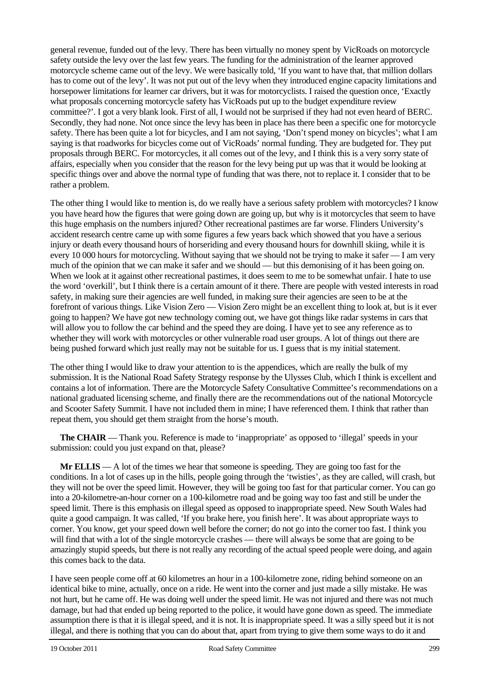general revenue, funded out of the levy. There has been virtually no money spent by VicRoads on motorcycle safety outside the levy over the last few years. The funding for the administration of the learner approved motorcycle scheme came out of the levy. We were basically told, 'If you want to have that, that million dollars has to come out of the levy'. It was not put out of the levy when they introduced engine capacity limitations and horsepower limitations for learner car drivers, but it was for motorcyclists. I raised the question once, 'Exactly what proposals concerning motorcycle safety has VicRoads put up to the budget expenditure review committee?'. I got a very blank look. First of all, I would not be surprised if they had not even heard of BERC. Secondly, they had none. Not once since the levy has been in place has there been a specific one for motorcycle safety. There has been quite a lot for bicycles, and I am not saying, 'Don't spend money on bicycles'; what I am saying is that roadworks for bicycles come out of VicRoads' normal funding. They are budgeted for. They put proposals through BERC. For motorcycles, it all comes out of the levy, and I think this is a very sorry state of affairs, especially when you consider that the reason for the levy being put up was that it would be looking at specific things over and above the normal type of funding that was there, not to replace it. I consider that to be rather a problem.

The other thing I would like to mention is, do we really have a serious safety problem with motorcycles? I know you have heard how the figures that were going down are going up, but why is it motorcycles that seem to have this huge emphasis on the numbers injured? Other recreational pastimes are far worse. Flinders University's accident research centre came up with some figures a few years back which showed that you have a serious injury or death every thousand hours of horseriding and every thousand hours for downhill skiing, while it is every 10 000 hours for motorcycling. Without saying that we should not be trying to make it safer — I am very much of the opinion that we can make it safer and we should — but this demonising of it has been going on. When we look at it against other recreational pastimes, it does seem to me to be somewhat unfair. I hate to use the word 'overkill', but I think there is a certain amount of it there. There are people with vested interests in road safety, in making sure their agencies are well funded, in making sure their agencies are seen to be at the forefront of various things. Like Vision Zero — Vision Zero might be an excellent thing to look at, but is it ever going to happen? We have got new technology coming out, we have got things like radar systems in cars that will allow you to follow the car behind and the speed they are doing. I have yet to see any reference as to whether they will work with motorcycles or other vulnerable road user groups. A lot of things out there are being pushed forward which just really may not be suitable for us. I guess that is my initial statement.

The other thing I would like to draw your attention to is the appendices, which are really the bulk of my submission. It is the National Road Safety Strategy response by the Ulysses Club, which I think is excellent and contains a lot of information. There are the Motorcycle Safety Consultative Committee's recommendations on a national graduated licensing scheme, and finally there are the recommendations out of the national Motorcycle and Scooter Safety Summit. I have not included them in mine; I have referenced them. I think that rather than repeat them, you should get them straight from the horse's mouth.

**The CHAIR** — Thank you. Reference is made to 'inappropriate' as opposed to 'illegal' speeds in your submission: could you just expand on that, please?

**Mr ELLIS** — A lot of the times we hear that someone is speeding. They are going too fast for the conditions. In a lot of cases up in the hills, people going through the 'twisties', as they are called, will crash, but they will not be over the speed limit. However, they will be going too fast for that particular corner. You can go into a 20-kilometre-an-hour corner on a 100-kilometre road and be going way too fast and still be under the speed limit. There is this emphasis on illegal speed as opposed to inappropriate speed. New South Wales had quite a good campaign. It was called, 'If you brake here, you finish here'. It was about appropriate ways to corner. You know, get your speed down well before the corner; do not go into the corner too fast. I think you will find that with a lot of the single motorcycle crashes — there will always be some that are going to be amazingly stupid speeds, but there is not really any recording of the actual speed people were doing, and again this comes back to the data.

I have seen people come off at 60 kilometres an hour in a 100-kilometre zone, riding behind someone on an identical bike to mine, actually, once on a ride. He went into the corner and just made a silly mistake. He was not hurt, but he came off. He was doing well under the speed limit. He was not injured and there was not much damage, but had that ended up being reported to the police, it would have gone down as speed. The immediate assumption there is that it is illegal speed, and it is not. It is inappropriate speed. It was a silly speed but it is not illegal, and there is nothing that you can do about that, apart from trying to give them some ways to do it and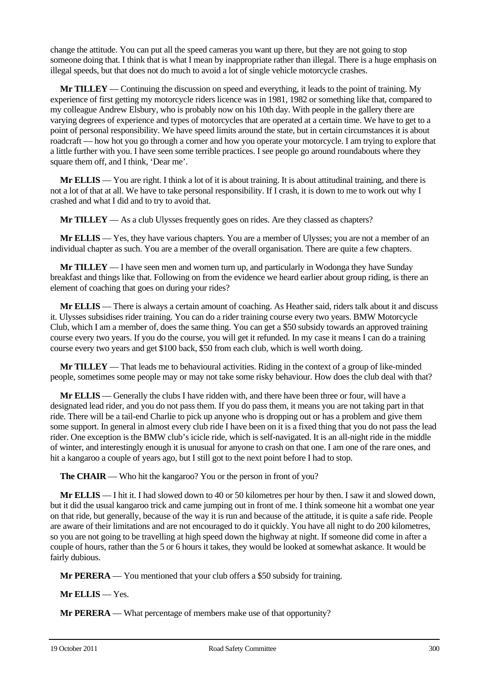change the attitude. You can put all the speed cameras you want up there, but they are not going to stop someone doing that. I think that is what I mean by inappropriate rather than illegal. There is a huge emphasis on illegal speeds, but that does not do much to avoid a lot of single vehicle motorcycle crashes.

**Mr TILLEY** — Continuing the discussion on speed and everything, it leads to the point of training. My experience of first getting my motorcycle riders licence was in 1981, 1982 or something like that, compared to my colleague Andrew Elsbury, who is probably now on his 10th day. With people in the gallery there are varying degrees of experience and types of motorcycles that are operated at a certain time. We have to get to a point of personal responsibility. We have speed limits around the state, but in certain circumstances it is about roadcraft — how hot you go through a corner and how you operate your motorcycle. I am trying to explore that a little further with you. I have seen some terrible practices. I see people go around roundabouts where they square them off, and I think, 'Dear me'.

**Mr ELLIS** — You are right. I think a lot of it is about training. It is about attitudinal training, and there is not a lot of that at all. We have to take personal responsibility. If I crash, it is down to me to work out why I crashed and what I did and to try to avoid that.

**Mr TILLEY** — As a club Ulysses frequently goes on rides. Are they classed as chapters?

**Mr ELLIS** — Yes, they have various chapters. You are a member of Ulysses; you are not a member of an individual chapter as such. You are a member of the overall organisation. There are quite a few chapters.

**Mr TILLEY** — I have seen men and women turn up, and particularly in Wodonga they have Sunday breakfast and things like that. Following on from the evidence we heard earlier about group riding, is there an element of coaching that goes on during your rides?

**Mr ELLIS** — There is always a certain amount of coaching. As Heather said, riders talk about it and discuss it. Ulysses subsidises rider training. You can do a rider training course every two years. BMW Motorcycle Club, which I am a member of, does the same thing. You can get a \$50 subsidy towards an approved training course every two years. If you do the course, you will get it refunded. In my case it means I can do a training course every two years and get \$100 back, \$50 from each club, which is well worth doing.

**Mr TILLEY** — That leads me to behavioural activities. Riding in the context of a group of like-minded people, sometimes some people may or may not take some risky behaviour. How does the club deal with that?

**Mr ELLIS** — Generally the clubs I have ridden with, and there have been three or four, will have a designated lead rider, and you do not pass them. If you do pass them, it means you are not taking part in that ride. There will be a tail-end Charlie to pick up anyone who is dropping out or has a problem and give them some support. In general in almost every club ride I have been on it is a fixed thing that you do not pass the lead rider. One exception is the BMW club's icicle ride, which is self-navigated. It is an all-night ride in the middle of winter, and interestingly enough it is unusual for anyone to crash on that one. I am one of the rare ones, and hit a kangaroo a couple of years ago, but I still got to the next point before I had to stop.

**The CHAIR** — Who hit the kangaroo? You or the person in front of you?

**Mr ELLIS** — I hit it. I had slowed down to 40 or 50 kilometres per hour by then. I saw it and slowed down, but it did the usual kangaroo trick and came jumping out in front of me. I think someone hit a wombat one year on that ride, but generally, because of the way it is run and because of the attitude, it is quite a safe ride. People are aware of their limitations and are not encouraged to do it quickly. You have all night to do 200 kilometres, so you are not going to be travelling at high speed down the highway at night. If someone did come in after a couple of hours, rather than the 5 or 6 hours it takes, they would be looked at somewhat askance. It would be fairly dubious.

**Mr PERERA** — You mentioned that your club offers a \$50 subsidy for training.

**Mr ELLIS** — Yes.

**Mr PERERA** — What percentage of members make use of that opportunity?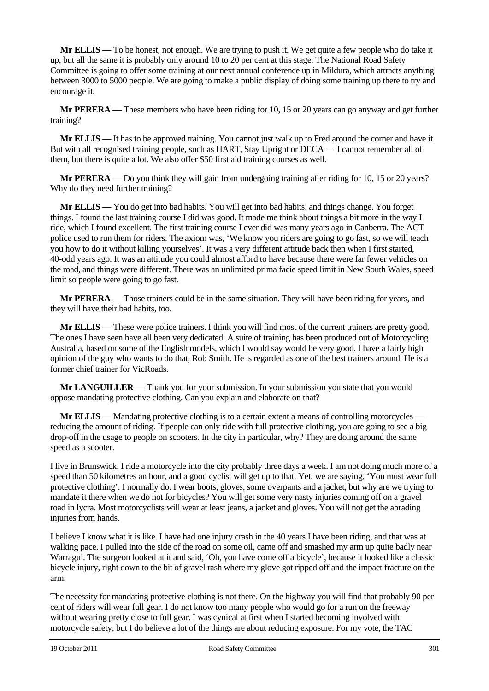**Mr ELLIS** — To be honest, not enough. We are trying to push it. We get quite a few people who do take it up, but all the same it is probably only around 10 to 20 per cent at this stage. The National Road Safety Committee is going to offer some training at our next annual conference up in Mildura, which attracts anything between 3000 to 5000 people. We are going to make a public display of doing some training up there to try and encourage it.

**Mr PERERA** — These members who have been riding for 10, 15 or 20 years can go anyway and get further training?

**Mr ELLIS** — It has to be approved training. You cannot just walk up to Fred around the corner and have it. But with all recognised training people, such as HART, Stay Upright or DECA — I cannot remember all of them, but there is quite a lot. We also offer \$50 first aid training courses as well.

**Mr PERERA** — Do you think they will gain from undergoing training after riding for 10, 15 or 20 years? Why do they need further training?

**Mr ELLIS** — You do get into bad habits. You will get into bad habits, and things change. You forget things. I found the last training course I did was good. It made me think about things a bit more in the way I ride, which I found excellent. The first training course I ever did was many years ago in Canberra. The ACT police used to run them for riders. The axiom was, 'We know you riders are going to go fast, so we will teach you how to do it without killing yourselves'. It was a very different attitude back then when I first started, 40-odd years ago. It was an attitude you could almost afford to have because there were far fewer vehicles on the road, and things were different. There was an unlimited prima facie speed limit in New South Wales, speed limit so people were going to go fast.

**Mr PERERA** — Those trainers could be in the same situation. They will have been riding for years, and they will have their bad habits, too.

**Mr ELLIS** — These were police trainers. I think you will find most of the current trainers are pretty good. The ones I have seen have all been very dedicated. A suite of training has been produced out of Motorcycling Australia, based on some of the English models, which I would say would be very good. I have a fairly high opinion of the guy who wants to do that, Rob Smith. He is regarded as one of the best trainers around. He is a former chief trainer for VicRoads.

**Mr LANGUILLER** — Thank you for your submission. In your submission you state that you would oppose mandating protective clothing. Can you explain and elaborate on that?

**Mr ELLIS** — Mandating protective clothing is to a certain extent a means of controlling motorcycles reducing the amount of riding. If people can only ride with full protective clothing, you are going to see a big drop-off in the usage to people on scooters. In the city in particular, why? They are doing around the same speed as a scooter.

I live in Brunswick. I ride a motorcycle into the city probably three days a week. I am not doing much more of a speed than 50 kilometres an hour, and a good cyclist will get up to that. Yet, we are saying, 'You must wear full protective clothing'. I normally do. I wear boots, gloves, some overpants and a jacket, but why are we trying to mandate it there when we do not for bicycles? You will get some very nasty injuries coming off on a gravel road in lycra. Most motorcyclists will wear at least jeans, a jacket and gloves. You will not get the abrading injuries from hands.

I believe I know what it is like. I have had one injury crash in the 40 years I have been riding, and that was at walking pace. I pulled into the side of the road on some oil, came off and smashed my arm up quite badly near Warragul. The surgeon looked at it and said, 'Oh, you have come off a bicycle', because it looked like a classic bicycle injury, right down to the bit of gravel rash where my glove got ripped off and the impact fracture on the arm.

The necessity for mandating protective clothing is not there. On the highway you will find that probably 90 per cent of riders will wear full gear. I do not know too many people who would go for a run on the freeway without wearing pretty close to full gear. I was cynical at first when I started becoming involved with motorcycle safety, but I do believe a lot of the things are about reducing exposure. For my vote, the TAC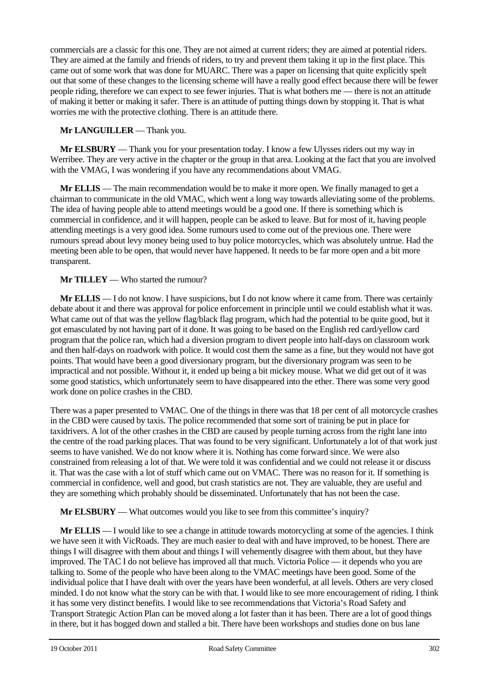commercials are a classic for this one. They are not aimed at current riders; they are aimed at potential riders. They are aimed at the family and friends of riders, to try and prevent them taking it up in the first place. This came out of some work that was done for MUARC. There was a paper on licensing that quite explicitly spelt out that some of these changes to the licensing scheme will have a really good effect because there will be fewer people riding, therefore we can expect to see fewer injuries. That is what bothers me — there is not an attitude of making it better or making it safer. There is an attitude of putting things down by stopping it. That is what worries me with the protective clothing. There is an attitude there.

**Mr LANGUILLER** — Thank you.

**Mr ELSBURY** — Thank you for your presentation today. I know a few Ulysses riders out my way in Werribee. They are very active in the chapter or the group in that area. Looking at the fact that you are involved with the VMAG, I was wondering if you have any recommendations about VMAG.

**Mr ELLIS** — The main recommendation would be to make it more open. We finally managed to get a chairman to communicate in the old VMAC, which went a long way towards alleviating some of the problems. The idea of having people able to attend meetings would be a good one. If there is something which is commercial in confidence, and it will happen, people can be asked to leave. But for most of it, having people attending meetings is a very good idea. Some rumours used to come out of the previous one. There were rumours spread about levy money being used to buy police motorcycles, which was absolutely untrue. Had the meeting been able to be open, that would never have happened. It needs to be far more open and a bit more transparent.

**Mr TILLEY** — Who started the rumour?

**Mr ELLIS** — I do not know. I have suspicions, but I do not know where it came from. There was certainly debate about it and there was approval for police enforcement in principle until we could establish what it was. What came out of that was the yellow flag/black flag program, which had the potential to be quite good, but it got emasculated by not having part of it done. It was going to be based on the English red card/yellow card program that the police ran, which had a diversion program to divert people into half-days on classroom work and then half-days on roadwork with police. It would cost them the same as a fine, but they would not have got points. That would have been a good diversionary program, but the diversionary program was seen to be impractical and not possible. Without it, it ended up being a bit mickey mouse. What we did get out of it was some good statistics, which unfortunately seem to have disappeared into the ether. There was some very good work done on police crashes in the CBD.

There was a paper presented to VMAC. One of the things in there was that 18 per cent of all motorcycle crashes in the CBD were caused by taxis. The police recommended that some sort of training be put in place for taxidrivers. A lot of the other crashes in the CBD are caused by people turning across from the right lane into the centre of the road parking places. That was found to be very significant. Unfortunately a lot of that work just seems to have vanished. We do not know where it is. Nothing has come forward since. We were also constrained from releasing a lot of that. We were told it was confidential and we could not release it or discuss it. That was the case with a lot of stuff which came out on VMAC. There was no reason for it. If something is commercial in confidence, well and good, but crash statistics are not. They are valuable, they are useful and they are something which probably should be disseminated. Unfortunately that has not been the case.

**Mr ELSBURY** — What outcomes would you like to see from this committee's inquiry?

**Mr ELLIS** — I would like to see a change in attitude towards motorcycling at some of the agencies. I think we have seen it with VicRoads. They are much easier to deal with and have improved, to be honest. There are things I will disagree with them about and things I will vehemently disagree with them about, but they have improved. The TAC I do not believe has improved all that much. Victoria Police — it depends who you are talking to. Some of the people who have been along to the VMAC meetings have been good. Some of the individual police that I have dealt with over the years have been wonderful, at all levels. Others are very closed minded. I do not know what the story can be with that. I would like to see more encouragement of riding. I think it has some very distinct benefits. I would like to see recommendations that Victoria's Road Safety and Transport Strategic Action Plan can be moved along a lot faster than it has been. There are a lot of good things in there, but it has bogged down and stalled a bit. There have been workshops and studies done on bus lane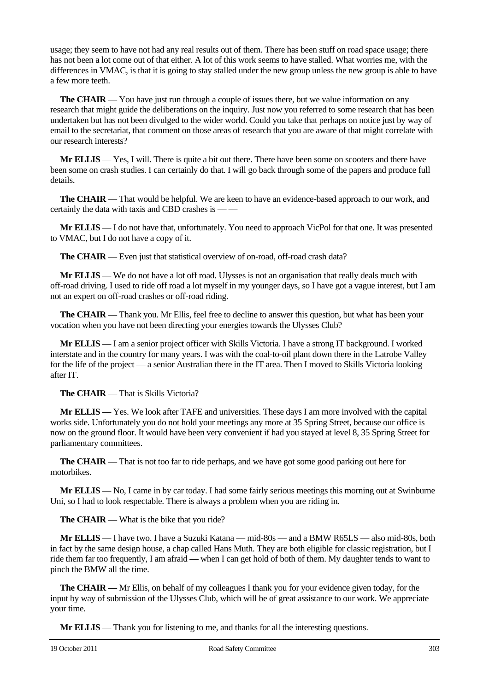usage; they seem to have not had any real results out of them. There has been stuff on road space usage; there has not been a lot come out of that either. A lot of this work seems to have stalled. What worries me, with the differences in VMAC, is that it is going to stay stalled under the new group unless the new group is able to have a few more teeth.

**The CHAIR** — You have just run through a couple of issues there, but we value information on any research that might guide the deliberations on the inquiry. Just now you referred to some research that has been undertaken but has not been divulged to the wider world. Could you take that perhaps on notice just by way of email to the secretariat, that comment on those areas of research that you are aware of that might correlate with our research interests?

**Mr ELLIS** — Yes, I will. There is quite a bit out there. There have been some on scooters and there have been some on crash studies. I can certainly do that. I will go back through some of the papers and produce full details.

**The CHAIR** — That would be helpful. We are keen to have an evidence-based approach to our work, and certainly the data with taxis and CBD crashes is -

**Mr ELLIS** — I do not have that, unfortunately. You need to approach VicPol for that one. It was presented to VMAC, but I do not have a copy of it.

**The CHAIR** — Even just that statistical overview of on-road, off-road crash data?

**Mr ELLIS** — We do not have a lot off road. Ulysses is not an organisation that really deals much with off-road driving. I used to ride off road a lot myself in my younger days, so I have got a vague interest, but I am not an expert on off-road crashes or off-road riding.

**The CHAIR** — Thank you. Mr Ellis, feel free to decline to answer this question, but what has been your vocation when you have not been directing your energies towards the Ulysses Club?

**Mr ELLIS** — I am a senior project officer with Skills Victoria. I have a strong IT background. I worked interstate and in the country for many years. I was with the coal-to-oil plant down there in the Latrobe Valley for the life of the project — a senior Australian there in the IT area. Then I moved to Skills Victoria looking after IT.

**The CHAIR** — That is Skills Victoria?

**Mr ELLIS** — Yes. We look after TAFE and universities. These days I am more involved with the capital works side. Unfortunately you do not hold your meetings any more at 35 Spring Street, because our office is now on the ground floor. It would have been very convenient if had you stayed at level 8, 35 Spring Street for parliamentary committees.

**The CHAIR** — That is not too far to ride perhaps, and we have got some good parking out here for motorbikes.

**Mr ELLIS** — No, I came in by car today. I had some fairly serious meetings this morning out at Swinburne Uni, so I had to look respectable. There is always a problem when you are riding in.

**The CHAIR** — What is the bike that you ride?

**Mr ELLIS** — I have two. I have a Suzuki Katana — mid-80s — and a BMW R65LS — also mid-80s, both in fact by the same design house, a chap called Hans Muth. They are both eligible for classic registration, but I ride them far too frequently, I am afraid — when I can get hold of both of them. My daughter tends to want to pinch the BMW all the time.

**The CHAIR** — Mr Ellis, on behalf of my colleagues I thank you for your evidence given today, for the input by way of submission of the Ulysses Club, which will be of great assistance to our work. We appreciate your time.

**Mr ELLIS** — Thank you for listening to me, and thanks for all the interesting questions.